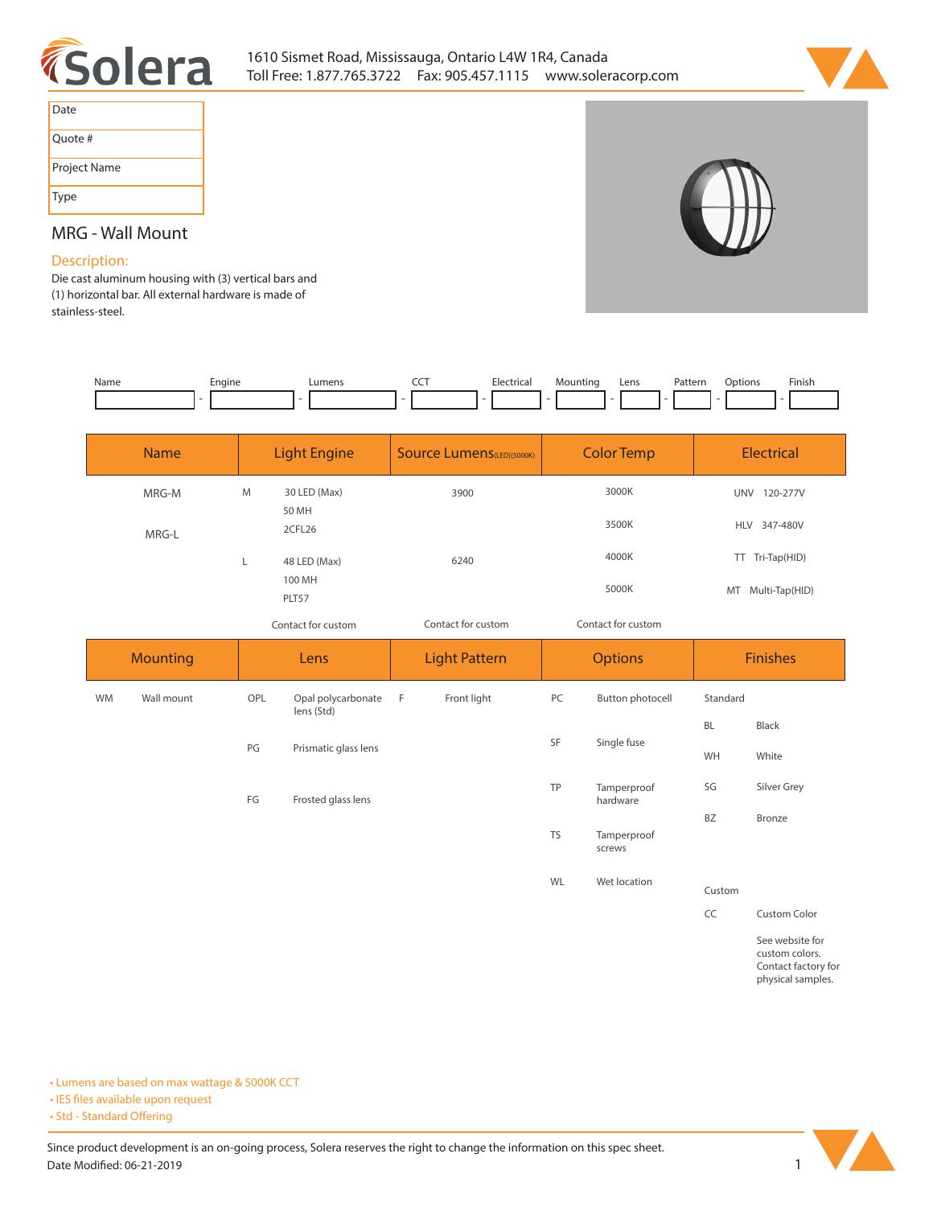



| Date         |
|--------------|
| Ouote #      |
| Project Name |
| <b>Type</b>  |

# **MRG - Wall Mount**

# **Description:**

**Die cast aluminum housing with (3) vertical bars and (1) horizontal bar. All external hardware is made of stainless-steel.** 

| Name | Engine | umens | ---<br>$\sim$ $\sim$ | $\sim$ $\sim$ | յսnti | Lens | Patterr<br>. | .ntinnr | Finis |
|------|--------|-------|----------------------|---------------|-------|------|--------------|---------|-------|
|      |        |       |                      |               |       |      |              |         |       |

| <b>Name</b> |   | <b>Light Engine</b>   | <b>Source Lumens</b> (LED)(5000K) | <b>Color Temp</b>  | <b>Electrical</b>      |
|-------------|---|-----------------------|-----------------------------------|--------------------|------------------------|
| MRG-M       | M | 30 LED (Max)<br>50 MH | 3900                              | 3000K              | 120-277V<br><b>UNV</b> |
| MRG-L       |   | 2CFL26                |                                   | 3500K              | HLV 347-480V           |
|             |   | 48 LED (Max)          | 6240                              | 4000K              | TT Tri-Tap(HID)        |
|             |   | 100 MH<br>PLT57       |                                   | 5000K              | MT Multi-Tap(HID)      |
|             |   | Contact for custom    | Contact for custom                | Contact for custom |                        |

*Contact for custom Contact for custom*

|           | <b>Mounting</b> |     | Lens                             |     | <b>Light Pattern</b> | <b>Options</b> |                         |           | <b>Finishes</b>                                          |
|-----------|-----------------|-----|----------------------------------|-----|----------------------|----------------|-------------------------|-----------|----------------------------------------------------------|
| <b>WM</b> | Wall mount      | OPL | Opal polycarbonate<br>lens (Std) | - F | Front light          | PC             | Button photocell        | Standard  |                                                          |
|           |                 |     |                                  |     |                      | SF             | Single fuse             | <b>BL</b> | Black                                                    |
|           |                 | PG  | Prismatic glass lens             |     |                      |                |                         | WH        | White                                                    |
|           |                 | FG  | Frosted glass lens               |     |                      | TP             | Tamperproof<br>hardware | SG        | Silver Grey                                              |
|           |                 |     |                                  |     |                      |                |                         | BZ        | Bronze                                                   |
|           |                 |     |                                  |     |                      | <b>TS</b>      | Tamperproof<br>screws   |           |                                                          |
|           |                 |     |                                  |     |                      | WL             | Wet location            | Custom    |                                                          |
|           |                 |     |                                  |     |                      |                |                         | CC        | Custom Color                                             |
|           |                 |     |                                  |     |                      |                |                         |           | See website for<br>custom colors.<br>Contact factory for |

**Contact factory for physical samples.** 

**• Lumens are based on max wattage & 5000K CCT**

**• IES files available upon request** 

• Std - Standard Offering

Since product development is an on-going process, Solera reserves the right to change the information on this spec sheet. **Date Modified: 06-21-2019** 1